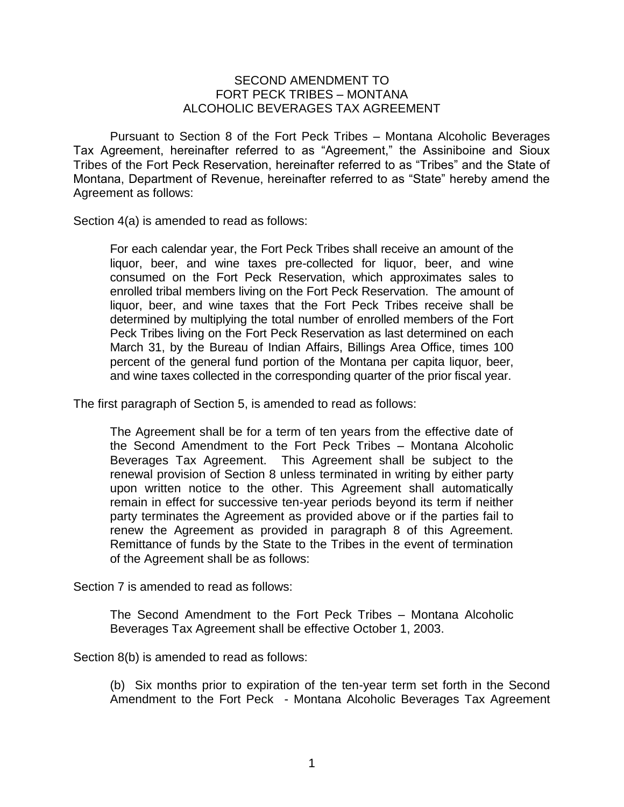## SECOND AMENDMENT TO FORT PECK TRIBES – MONTANA ALCOHOLIC BEVERAGES TAX AGREEMENT

Pursuant to Section 8 of the Fort Peck Tribes – Montana Alcoholic Beverages Tax Agreement, hereinafter referred to as "Agreement," the Assiniboine and Sioux Tribes of the Fort Peck Reservation, hereinafter referred to as "Tribes" and the State of Montana, Department of Revenue, hereinafter referred to as "State" hereby amend the Agreement as follows:

Section 4(a) is amended to read as follows:

For each calendar year, the Fort Peck Tribes shall receive an amount of the liquor, beer, and wine taxes pre-collected for liquor, beer, and wine consumed on the Fort Peck Reservation, which approximates sales to enrolled tribal members living on the Fort Peck Reservation. The amount of liquor, beer, and wine taxes that the Fort Peck Tribes receive shall be determined by multiplying the total number of enrolled members of the Fort Peck Tribes living on the Fort Peck Reservation as last determined on each March 31, by the Bureau of Indian Affairs, Billings Area Office, times 100 percent of the general fund portion of the Montana per capita liquor, beer, and wine taxes collected in the corresponding quarter of the prior fiscal year.

The first paragraph of Section 5, is amended to read as follows:

The Agreement shall be for a term of ten years from the effective date of the Second Amendment to the Fort Peck Tribes – Montana Alcoholic Beverages Tax Agreement. This Agreement shall be subject to the renewal provision of Section 8 unless terminated in writing by either party upon written notice to the other. This Agreement shall automatically remain in effect for successive ten-year periods beyond its term if neither party terminates the Agreement as provided above or if the parties fail to renew the Agreement as provided in paragraph 8 of this Agreement. Remittance of funds by the State to the Tribes in the event of termination of the Agreement shall be as follows:

Section 7 is amended to read as follows:

The Second Amendment to the Fort Peck Tribes – Montana Alcoholic Beverages Tax Agreement shall be effective October 1, 2003.

Section 8(b) is amended to read as follows:

(b) Six months prior to expiration of the ten-year term set forth in the Second Amendment to the Fort Peck - Montana Alcoholic Beverages Tax Agreement